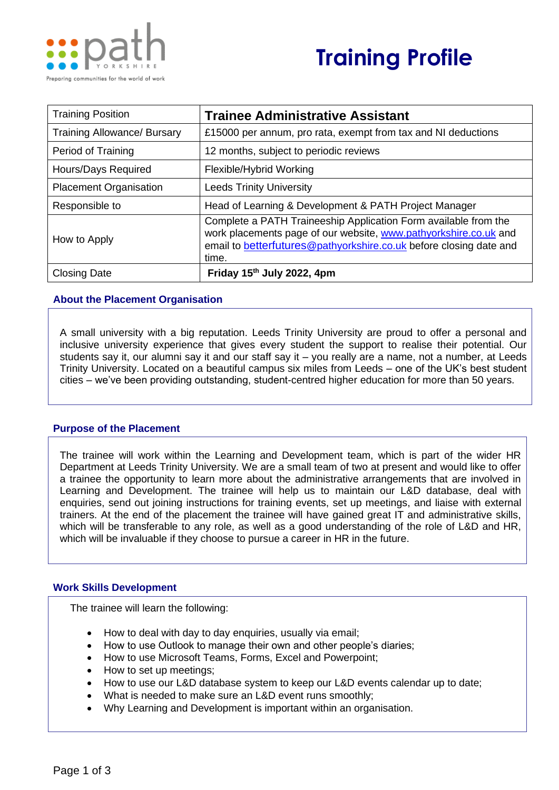

# **Training Profile**

| <b>Training Position</b>           | <b>Trainee Administrative Assistant</b>                                                                                                                                                                            |  |
|------------------------------------|--------------------------------------------------------------------------------------------------------------------------------------------------------------------------------------------------------------------|--|
| <b>Training Allowance/ Bursary</b> | £15000 per annum, pro rata, exempt from tax and NI deductions                                                                                                                                                      |  |
| Period of Training                 | 12 months, subject to periodic reviews                                                                                                                                                                             |  |
| Hours/Days Required                | Flexible/Hybrid Working                                                                                                                                                                                            |  |
| <b>Placement Organisation</b>      | <b>Leeds Trinity University</b>                                                                                                                                                                                    |  |
| Responsible to                     | Head of Learning & Development & PATH Project Manager                                                                                                                                                              |  |
| How to Apply                       | Complete a PATH Traineeship Application Form available from the<br>work placements page of our website, www.pathyorkshire.co.uk and<br>email to betterfutures@pathyorkshire.co.uk before closing date and<br>time. |  |
| <b>Closing Date</b>                | Friday $15th$ July 2022, 4pm                                                                                                                                                                                       |  |

### **About the Placement Organisation**

A small university with a big reputation. Leeds Trinity University are proud to offer a personal and inclusive university experience that gives every student the support to realise their potential. Our students say it, our alumni say it and our staff say it – you really are a name, not a number, at Leeds Trinity University. Located on a beautiful campus six miles from Leeds – one of the UK's best student cities – we've been providing outstanding, student-centred higher education for more than 50 years.

### **Purpose of the Placement**

The trainee will work within the Learning and Development team, which is part of the wider HR Department at Leeds Trinity University. We are a small team of two at present and would like to offer a trainee the opportunity to learn more about the administrative arrangements that are involved in Learning and Development. The trainee will help us to maintain our L&D database, deal with enquiries, send out joining instructions for training events, set up meetings, and liaise with external trainers. At the end of the placement the trainee will have gained great IT and administrative skills, which will be transferable to any role, as well as a good understanding of the role of L&D and HR, which will be invaluable if they choose to pursue a career in HR in the future.

### **Work Skills Development**

The trainee will learn the following:

- How to deal with day to day enquiries, usually via email;
- How to use Outlook to manage their own and other people's diaries;
- How to use Microsoft Teams, Forms, Excel and Powerpoint;
- How to set up meetings;
- How to use our L&D database system to keep our L&D events calendar up to date;
- What is needed to make sure an L&D event runs smoothly;
- Why Learning and Development is important within an organisation.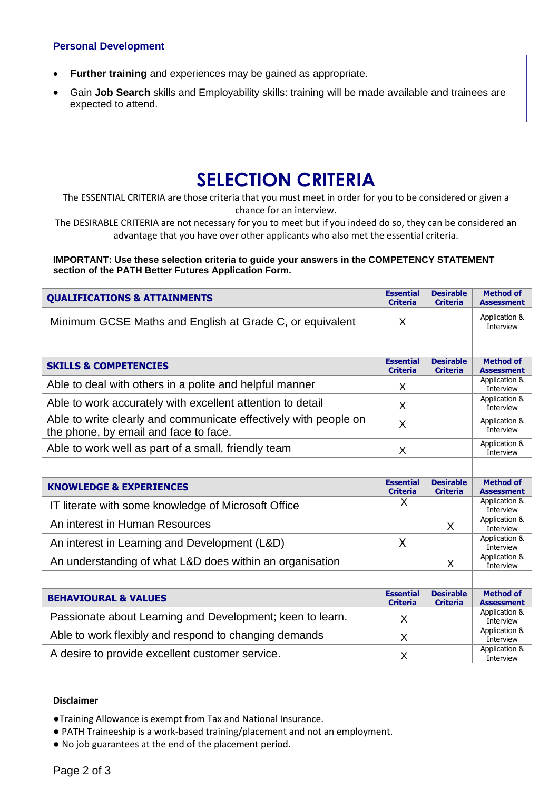- **Further training** and experiences may be gained as appropriate.
- Gain **Job Search** skills and Employability skills: training will be made available and trainees are expected to attend.

## **SELECTION CRITERIA**

The ESSENTIAL CRITERIA are those criteria that you must meet in order for you to be considered or given a chance for an interview.

The DESIRABLE CRITERIA are not necessary for you to meet but if you indeed do so, they can be considered an advantage that you have over other applicants who also met the essential criteria.

#### **IMPORTANT: Use these selection criteria to guide your answers in the COMPETENCY STATEMENT section of the PATH Better Futures Application Form.**

| <b>QUALIFICATIONS &amp; ATTAINMENTS</b>                                                                   | <b>Essential</b><br><b>Criteria</b> | <b>Desirable</b><br><b>Criteria</b> | <b>Method of</b><br><b>Assessment</b> |
|-----------------------------------------------------------------------------------------------------------|-------------------------------------|-------------------------------------|---------------------------------------|
| Minimum GCSE Maths and English at Grade C, or equivalent                                                  |                                     |                                     | Application &<br>Interview            |
|                                                                                                           |                                     |                                     |                                       |
| <b>SKILLS &amp; COMPETENCIES</b>                                                                          | <b>Essential</b><br><b>Criteria</b> | <b>Desirable</b><br><b>Criteria</b> | <b>Method of</b><br><b>Assessment</b> |
| Able to deal with others in a polite and helpful manner                                                   | X                                   |                                     | Application &<br>Interview            |
| Able to work accurately with excellent attention to detail                                                | X                                   |                                     | Application &<br>Interview            |
| Able to write clearly and communicate effectively with people on<br>the phone, by email and face to face. | X                                   |                                     | Application &<br>Interview            |
| Able to work well as part of a small, friendly team                                                       | X                                   |                                     | Application &<br>Interview            |
|                                                                                                           |                                     |                                     |                                       |
| <b>KNOWLEDGE &amp; EXPERIENCES</b>                                                                        |                                     | <b>Desirable</b><br><b>Criteria</b> | <b>Method of</b><br><b>Assessment</b> |
| IT literate with some knowledge of Microsoft Office                                                       | X                                   |                                     | Application &<br>Interview            |
| An interest in Human Resources                                                                            |                                     | X                                   | Application &<br>Interview            |
| An interest in Learning and Development (L&D)                                                             | X                                   |                                     | Application &<br>Interview            |
| An understanding of what L&D does within an organisation                                                  |                                     | X                                   | Application &<br>Interview            |
|                                                                                                           |                                     |                                     |                                       |
| <b>BEHAVIOURAL &amp; VALUES</b>                                                                           |                                     | <b>Desirable</b><br><b>Criteria</b> | <b>Method of</b><br><b>Assessment</b> |
| Passionate about Learning and Development; keen to learn.                                                 |                                     |                                     | Application &<br>Interview            |
| Able to work flexibly and respond to changing demands                                                     | X                                   |                                     | Application &<br>Interview            |
| A desire to provide excellent customer service.                                                           | X                                   |                                     | Application &<br>Interview            |

### **Disclaimer**

●Training Allowance is exempt from Tax and National Insurance.

- PATH Traineeship is a work-based training/placement and not an employment.
- No job guarantees at the end of the placement period.